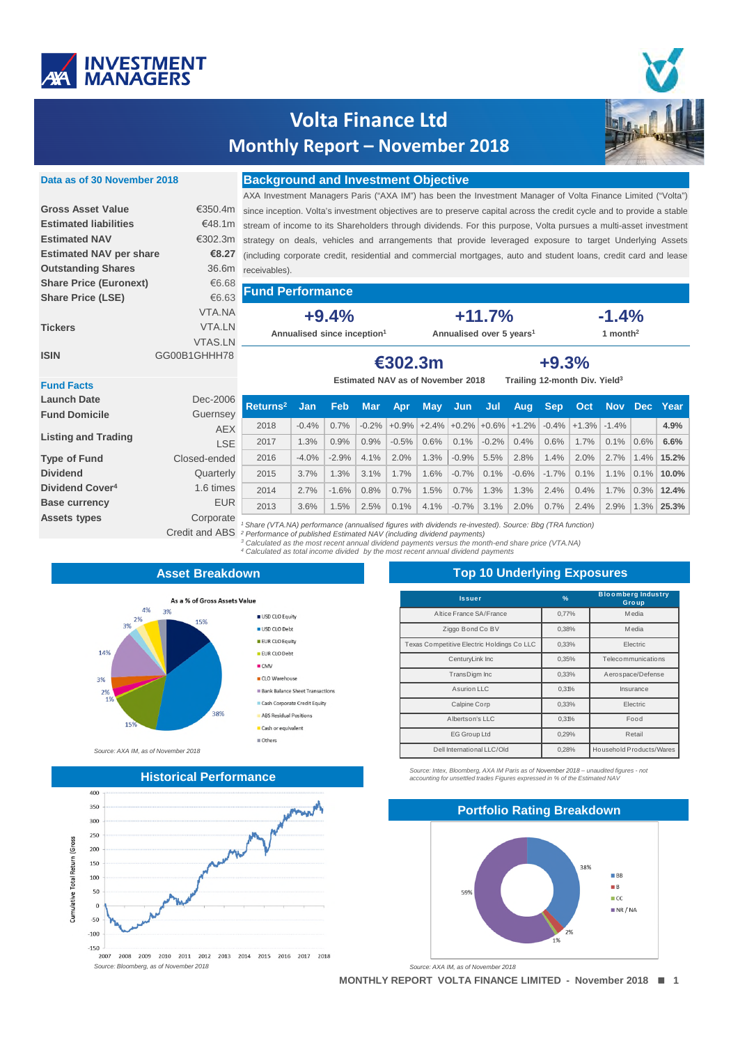

## **Volta Finance Ltd Monthly Report – November 2018**



#### **Data as of 30 November 2018**

### **Background and Investment Objective**

|                                |                | AXA Investment Managers Paris ("AXA IM") has been the Investment Manager of Volta Finance Limited ("Volta")                    |                                          |                                           |  |  |
|--------------------------------|----------------|--------------------------------------------------------------------------------------------------------------------------------|------------------------------------------|-------------------------------------------|--|--|
| <b>Gross Asset Value</b>       |                | €350.4m since inception. Volta's investment objectives are to preserve capital across the credit cycle and to provide a stable |                                          |                                           |  |  |
| <b>Estimated liabilities</b>   |                | €48.1m stream of income to its Shareholders through dividends. For this purpose, Volta pursues a multi-asset investment        |                                          |                                           |  |  |
| <b>Estimated NAV</b>           |                | €302.3m strategy on deals, vehicles and arrangements that provide leveraged exposure to target Underlying Assets               |                                          |                                           |  |  |
| <b>Estimated NAV per share</b> | €8.27          | (including corporate credit, residential and commercial mortgages, auto and student loans, credit card and lease               |                                          |                                           |  |  |
| <b>Outstanding Shares</b>      | 36.6m          | receivables).                                                                                                                  |                                          |                                           |  |  |
| <b>Share Price (Euronext)</b>  | €6.68          |                                                                                                                                |                                          |                                           |  |  |
| <b>Share Price (LSE)</b>       | €6.63          | <b>Fund Performance</b>                                                                                                        |                                          |                                           |  |  |
|                                | VTA.NA         | $+9.4%$                                                                                                                        | $+11.7%$                                 | $-1.4%$                                   |  |  |
| <b>Tickers</b>                 | VTA.LN         | Annualised since inception <sup>1</sup>                                                                                        | Annualised over 5 years <sup>1</sup>     | 1 month <sup>2</sup>                      |  |  |
|                                | <b>VTAS.LN</b> |                                                                                                                                |                                          |                                           |  |  |
| <b>ISIN</b>                    | GG00B1GHHH78   | €302.3m<br>$+9.3%$                                                                                                             |                                          |                                           |  |  |
|                                |                |                                                                                                                                |                                          |                                           |  |  |
| <b>Eund Facts</b>              |                |                                                                                                                                | <b>Estimated NAV as of November 2018</b> | Trailing 12-month Div. Yield <sup>3</sup> |  |  |

**Returns<sup>2</sup> Jan Feb Mar Apr May Jun Jul Aug Sep Oct Nov Dec Year** -0.4% 0.7% -0.2% +0.9% +2.4% +0.2% +0.6% +1.2% -0.4% +1.3% -1.4% **4.9%** 1.3% 0.9% 0.9% -0.5% 0.6% 0.1% -0.2% 0.4% 0.6% 1.7% 0.1% 0.6% **6.6%** -4.0% -2.9% 4.1% 2.0% 1.3% -0.9% 5.5% 2.8% 1.4% 2.0% 2.7% 1.4% **15.2%** 3.7% 1.3% 3.1% 1.7% 1.6% -0.7% 0.1% -0.6% -1.7% 0.1% 1.1% 0.1% **10.0%** 2.7% -1.6% 0.8% 0.7% 1.5% 0.7% 1.3% 1.3% 2.4% 0.4% 1.7% 0.3% **12.4%** 3.6% 1.5% 2.5% 0.1% 4.1% -0.7% 3.1% 2.0% 0.7% 2.4% 2.9% 1.3% **25.3%**

# **+9.3%**

#### **Fund Facts Launch Date** Dec-2006

| Launch Date                 | Dec-Zuub              |
|-----------------------------|-----------------------|
| <b>Fund Domicile</b>        | Guernsey              |
|                             | <b>AEX</b>            |
| <b>Listing and Trading</b>  | <b>LSE</b>            |
| <b>Type of Fund</b>         | Closed-ended          |
| <b>Dividend</b>             | Quarterly             |
| Dividend Cover <sup>4</sup> | 1.6 times             |
| <b>Base currency</b>        | <b>EUR</b>            |
| <b>Assets types</b>         | Corporate             |
|                             | <b>Credit and ABS</b> |

*<sup>1</sup> Share (VTA.NA) performance (annualised figures with dividends re-invested). Source: Bbg (TRA function) <sup>2</sup> Performance of published Estimated NAV (including dividend payments)*

*<sup>3</sup> Calculated as the most recent annual dividend payments versus the month-end share price (VTA.NA) <sup>4</sup> Calculated as total income divided by the most recent annual dividend payments*

### **Asset Breakdown**

USD CLO Equity

USD CLO Debt EUR CLO Equity

EUR CLO Debt  $CMV$ 

CLO Warehouse **Bank Balance Sheet Transactions** 

Cash Corporate Credit Equity

ABS Residual Positions

Cash or equivalent Others



*Source: AXA IM, as of November 2018*



### **Top 10 Underlying Exposures**

| <b>Issuer</b>                              | $\frac{9}{6}$ | <b>Bloomberg Industry</b><br>Group |  |
|--------------------------------------------|---------------|------------------------------------|--|
| Altice France SA/France                    | 0,77%         | <b>Media</b>                       |  |
| Ziggo Bond Co BV                           | 0.38%         | <b>M</b> edia                      |  |
| Texas Competitive Electric Holdings Co LLC | 0,33%         | Electric                           |  |
| CenturyLink Inc                            | 0,35%         | Telecommunications                 |  |
| TransDigm Inc                              | 0.33%         | Aerospace/Defense                  |  |
| Asurion LLC                                | 0,31%         | Insurance                          |  |
| Calpine Corp                               | 0.33%         | Electric                           |  |
| Albertson's LLC                            | 0.31%         | Food                               |  |
| EG Group Ltd                               | 0.29%         | Retail                             |  |
| Dell International LLC/Old                 | 0,28%         | Household Products/Wares           |  |

*Source: Intex, Bloomberg, AXA IM Paris as of November 2018 – unaudited figures - not accounting for unsettled trades Figures expressed in % of the Estimated NAV*

# **Portfolio Rating Breakdown**  $\blacksquare$  BB  $\blacksquare$  B 59%  $\Box$ CC  $N$ R / NA

*Source: AXA IM, as of November 2018*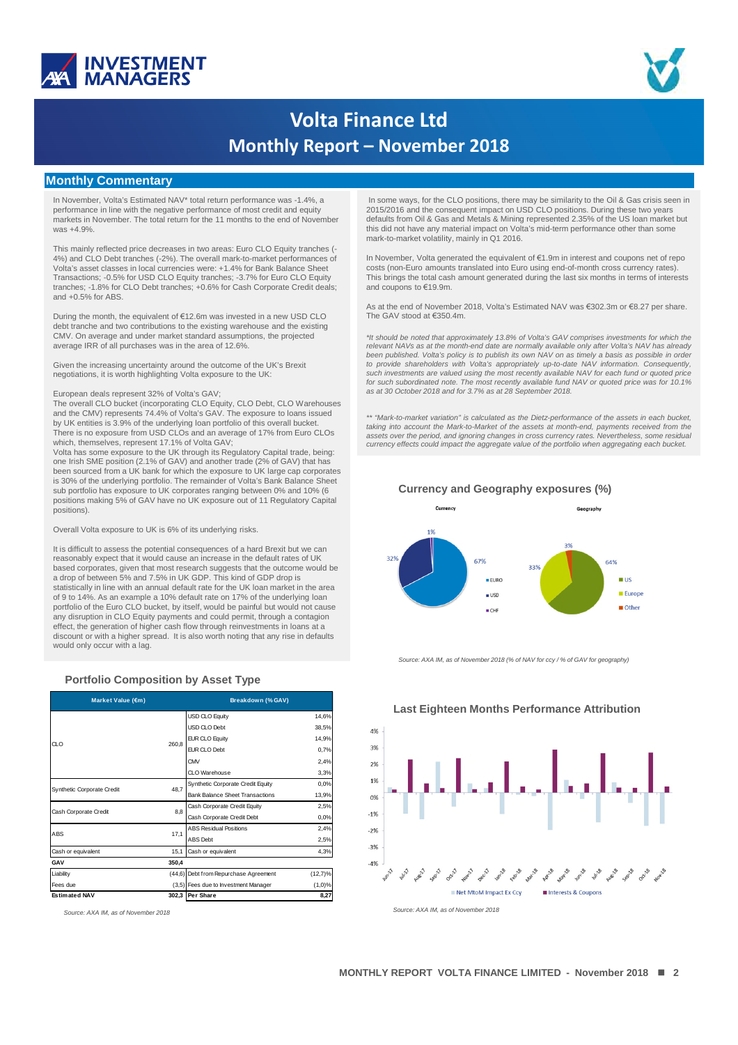



# **Volta Finance Ltd Monthly Report – November 2018**

### **Monthly Commentary**

In November, Volta's Estimated NAV\* total return performance was -1.4%, a performance in line with the negative performance of most credit and equity markets in November. The total return for the 11 months to the end of November was +4.9%.

This mainly reflected price decreases in two areas: Euro CLO Equity tranches (- 4%) and CLO Debt tranches (-2%). The overall mark-to-market performances of Volta's asset classes in local currencies were: +1.4% for Bank Balance Sheet Transactions; -0.5% for USD CLO Equity tranches; -3.7% for Euro CLO Equity tranches; -1.8% for CLO Debt tranches; +0.6% for Cash Corporate Credit deals; and +0.5% for ABS.

During the month, the equivalent of €12.6m was invested in a new USD CLO debt tranche and two contributions to the existing warehouse and the existing CMV. On average and under market standard assumptions, the projected average IRR of all purchases was in the area of 12.6%.

Given the increasing uncertainty around the outcome of the UK's Brexit negotiations, it is worth highlighting Volta exposure to the UK:

#### European deals represent 32% of Volta's GAV;

The overall CLO bucket (incorporating CLO Equity, CLO Debt, CLO Warehouses and the CMV) represents 74.4% of Volta's GAV. The exposure to loans issued by UK entities is 3.9% of the underlying loan portfolio of this overall bucket. There is no exposure from USD CLOs and an average of 17% from Euro CLOs which, themselves, represent 17.1% of Volta GAV;

Volta has some exposure to the UK through its Regulatory Capital trade, being: one Irish SME position (2.1% of GAV) and another trade (2% of GAV) that has been sourced from a UK bank for which the exposure to UK large cap corporates is 30% of the underlying portfolio. The remainder of Volta's Bank Balance Sheet sub portfolio has exposure to UK corporates ranging between 0% and 10% (6 positions making 5% of GAV have no UK exposure out of 11 Regulatory Capital positions).

Overall Volta exposure to UK is 6% of its underlying risks.

It is difficult to assess the potential consequences of a hard Brexit but we can reasonably expect that it would cause an increase in the default rates of UK based corporates, given that most research suggests that the outcome would be a drop of between 5% and 7.5% in UK GDP. This kind of GDP drop is statistically in line with an annual default rate for the UK loan market in the area of 9 to 14%. As an example a 10% default rate on 17% of the underlying loan portfolio of the Euro CLO bucket, by itself, would be painful but would not cause any disruption in CLO Equity payments and could permit, through a contagion effect, the generation of higher cash flow through reinvestments in loans at a discount or with a higher spread. It is also worth noting that any rise in defaults would only occur with a lag.

#### **Portfolio Composition by Asset Type**

| Market Value (€m)          |                                                                                                                                                                                                                                                                                                                                                                        | Breakdown (% GAV)     |            |  |
|----------------------------|------------------------------------------------------------------------------------------------------------------------------------------------------------------------------------------------------------------------------------------------------------------------------------------------------------------------------------------------------------------------|-----------------------|------------|--|
|                            |                                                                                                                                                                                                                                                                                                                                                                        | <b>USD CLO Equity</b> | 14,6%      |  |
|                            |                                                                                                                                                                                                                                                                                                                                                                        | USD CLO Debt          | 38,5%      |  |
| αo                         |                                                                                                                                                                                                                                                                                                                                                                        | <b>EUR CLO Equity</b> | 14,9%      |  |
|                            |                                                                                                                                                                                                                                                                                                                                                                        | EUR CLO Debt          | 0,7%       |  |
|                            |                                                                                                                                                                                                                                                                                                                                                                        | <b>CMV</b>            | 2,4%       |  |
|                            | 260.8<br>CLO Warehouse<br>Synthetic Corporate Credit Equity<br>48.7<br><b>Bank Balance Sheet Transactions</b><br>Cash Corporate Credit Equity<br>8.8<br>Cash Corporate Credit Debt<br><b>ABS Residual Positions</b><br>17,1<br><b>ABS</b> Debt<br>15,1<br>Cash or equivalent<br>350.4<br>(44,6) Debt from Repurchase Agreement<br>(3,5) Fees due to Investment Manager | 3,3%                  |            |  |
|                            |                                                                                                                                                                                                                                                                                                                                                                        |                       | 0.0%       |  |
| Synthetic Corporate Credit |                                                                                                                                                                                                                                                                                                                                                                        |                       | 13,9%      |  |
| Cash Corporate Credit      |                                                                                                                                                                                                                                                                                                                                                                        |                       | 2,5%       |  |
|                            |                                                                                                                                                                                                                                                                                                                                                                        |                       | 0.0%       |  |
| ABS                        |                                                                                                                                                                                                                                                                                                                                                                        |                       | 2,4%       |  |
|                            |                                                                                                                                                                                                                                                                                                                                                                        |                       | 2,5%       |  |
| Cash or equivalent         |                                                                                                                                                                                                                                                                                                                                                                        |                       | 4,3%       |  |
| GAV                        |                                                                                                                                                                                                                                                                                                                                                                        |                       |            |  |
| Liability                  |                                                                                                                                                                                                                                                                                                                                                                        |                       | $(12,7)\%$ |  |
| Fees due                   |                                                                                                                                                                                                                                                                                                                                                                        |                       | $(1,0)$ %  |  |
| <b>Estimated NAV</b>       |                                                                                                                                                                                                                                                                                                                                                                        | 302,3 Per Share       | 8,27       |  |

In some ways, for the CLO positions, there may be similarity to the Oil & Gas crisis seen in 2015/2016 and the consequent impact on USD CLO positions. During these two years defaults from Oil & Gas and Metals & Mining represented 2.35% of the US loan market but this did not have any material impact on Volta's mid-term performance other than some mark-to-market volatility, mainly in Q1 2016.

In November, Volta generated the equivalent of €1.9m in interest and coupons net of repo costs (non-Euro amounts translated into Euro using end-of-month cross currency rates). This brings the total cash amount generated during the last six months in terms of interests and coupons to €19.9m.

As at the end of November 2018, Volta's Estimated NAV was €302.3m or €8.27 per share. The GAV stood at €350.4m.

*\*It should be noted that approximately 13.8% of Volta's GAV comprises investments for which the relevant NAVs as at the month-end date are normally available only after Volta's NAV has already been published. Volta's policy is to publish its own NAV on as timely a basis as possible in order to provide shareholders with Volta's appropriately up-to-date NAV information. Consequently, such investments are valued using the most recently available NAV for each fund or quoted price for such subordinated note. The most recently available fund NAV or quoted price was for 10.1% as at 30 October 2018 and for 3.7% as at 28 September 2018.*

*\*\* "Mark-to-market variation" is calculated as the Dietz-performance of the assets in each bucket, taking into account the Mark-to-Market of the assets at month-end, payments received from the assets over the period, and ignoring changes in cross currency rates. Nevertheless, some residual currency effects could impact the aggregate value of the portfolio when aggregating each bucket.*



**Currency and Geography exposures (%)**

*Source: AXA IM, as of November 2018 (% of NAV for ccy / % of GAV for geography)*



### **Last Eighteen Months Performance Attribution**

*Source: AXA IM, as of November 2018 Source: AXA IM, as of November 2018*